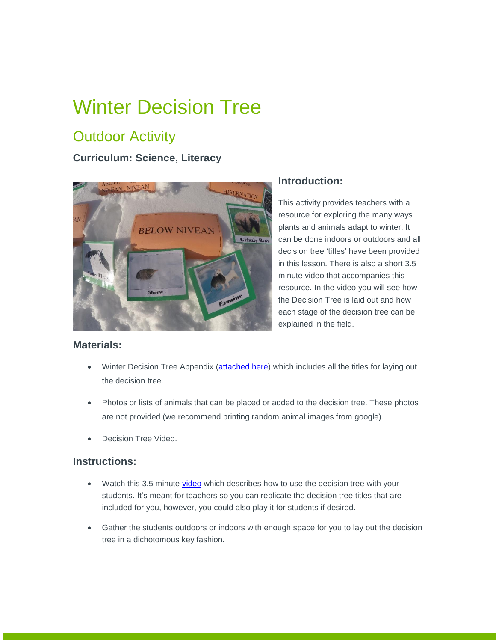# Winter Decision Tree

### **Outdoor Activity**

### **Curriculum: Science, Literacy**



#### **Introduction:**

This activity provides teachers with a resource for exploring the many ways plants and animals adapt to winter. It can be done indoors or outdoors and all decision tree 'titles' have been provided in this lesson. There is also a short 3.5 minute video that accompanies this resource. In the video you will see how the Decision Tree is laid out and how each stage of the decision tree can be explained in the field.

#### **Materials:**

- Winter Decision Tree Appendix [\(attached here\)](https://albertaparks.ca/media/6496603/decision-tree-titles_appendix.pdf) which includes all the titles for laying out the decision tree.
- Photos or lists of animals that can be placed or added to the decision tree. These photos are not provided (we recommend printing random animal images from google).
- Decision Tree Video.

#### **Instructions:**

- Watch this 3.5 minute [video](https://youtu.be/u8Bc-HHrG-4) which describes how to use the decision tree with your students. It's meant for teachers so you can replicate the decision tree titles that are included for you, however, you could also play it for students if desired.
- Gather the students outdoors or indoors with enough space for you to lay out the decision tree in a dichotomous key fashion.